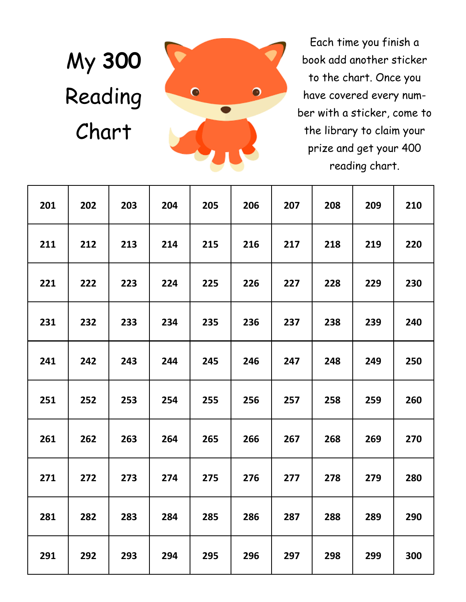My **300**  Reading Chart



Each time you finish a book add another sticker to the chart. Once you have covered every number with a sticker, come to the library to claim your prize and get your 400 reading chart.

| 201 | 202 | 203 | 204 | 205 | 206 | 207 | 208 | 209 | 210 |
|-----|-----|-----|-----|-----|-----|-----|-----|-----|-----|
| 211 | 212 | 213 | 214 | 215 | 216 | 217 | 218 | 219 | 220 |
| 221 | 222 | 223 | 224 | 225 | 226 | 227 | 228 | 229 | 230 |
| 231 | 232 | 233 | 234 | 235 | 236 | 237 | 238 | 239 | 240 |
| 241 | 242 | 243 | 244 | 245 | 246 | 247 | 248 | 249 | 250 |
| 251 | 252 | 253 | 254 | 255 | 256 | 257 | 258 | 259 | 260 |
| 261 | 262 | 263 | 264 | 265 | 266 | 267 | 268 | 269 | 270 |
| 271 | 272 | 273 | 274 | 275 | 276 | 277 | 278 | 279 | 280 |
| 281 | 282 | 283 | 284 | 285 | 286 | 287 | 288 | 289 | 290 |
| 291 | 292 | 293 | 294 | 295 | 296 | 297 | 298 | 299 | 300 |